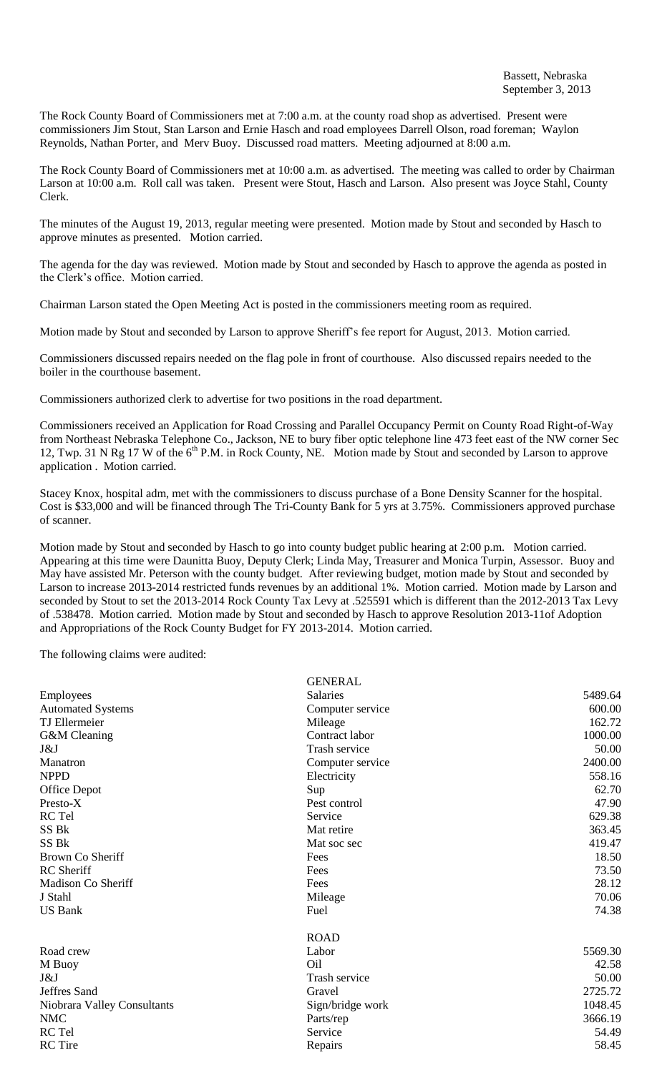The Rock County Board of Commissioners met at 7:00 a.m. at the county road shop as advertised. Present were commissioners Jim Stout, Stan Larson and Ernie Hasch and road employees Darrell Olson, road foreman; Waylon Reynolds, Nathan Porter, and Merv Buoy. Discussed road matters. Meeting adjourned at 8:00 a.m.

The Rock County Board of Commissioners met at 10:00 a.m. as advertised. The meeting was called to order by Chairman Larson at 10:00 a.m. Roll call was taken. Present were Stout, Hasch and Larson. Also present was Joyce Stahl, County Clerk.

The minutes of the August 19, 2013, regular meeting were presented. Motion made by Stout and seconded by Hasch to approve minutes as presented. Motion carried.

The agenda for the day was reviewed. Motion made by Stout and seconded by Hasch to approve the agenda as posted in the Clerk's office. Motion carried.

Chairman Larson stated the Open Meeting Act is posted in the commissioners meeting room as required.

Motion made by Stout and seconded by Larson to approve Sheriff's fee report for August, 2013. Motion carried.

Commissioners discussed repairs needed on the flag pole in front of courthouse. Also discussed repairs needed to the boiler in the courthouse basement.

Commissioners authorized clerk to advertise for two positions in the road department.

Commissioners received an Application for Road Crossing and Parallel Occupancy Permit on County Road Right-of-Way from Northeast Nebraska Telephone Co., Jackson, NE to bury fiber optic telephone line 473 feet east of the NW corner Sec 12, Twp. 31 N Rg 17 W of the 6<sup>th</sup> P.M. in Rock County, NE. Motion made by Stout and seconded by Larson to approve application . Motion carried.

Stacey Knox, hospital adm, met with the commissioners to discuss purchase of a Bone Density Scanner for the hospital. Cost is \$33,000 and will be financed through The Tri-County Bank for 5 yrs at 3.75%. Commissioners approved purchase of scanner.

Motion made by Stout and seconded by Hasch to go into county budget public hearing at 2:00 p.m. Motion carried. Appearing at this time were Daunitta Buoy, Deputy Clerk; Linda May, Treasurer and Monica Turpin, Assessor. Buoy and May have assisted Mr. Peterson with the county budget. After reviewing budget, motion made by Stout and seconded by Larson to increase 2013-2014 restricted funds revenues by an additional 1%. Motion carried. Motion made by Larson and seconded by Stout to set the 2013-2014 Rock County Tax Levy at .525591 which is different than the 2012-2013 Tax Levy of .538478. Motion carried. Motion made by Stout and seconded by Hasch to approve Resolution 2013-11of Adoption and Appropriations of the Rock County Budget for FY 2013-2014. Motion carried.

The following claims were audited:

|                             | <b>GENERAL</b>   |         |
|-----------------------------|------------------|---------|
| Employees                   | <b>Salaries</b>  | 5489.64 |
| <b>Automated Systems</b>    | Computer service | 600.00  |
| <b>TJ</b> Ellermeier        | Mileage          | 162.72  |
| G&M Cleaning                | Contract labor   | 1000.00 |
| J&J                         | Trash service    | 50.00   |
| Manatron                    | Computer service | 2400.00 |
| <b>NPPD</b>                 | Electricity      | 558.16  |
| Office Depot                | Sup              | 62.70   |
| Presto-X                    | Pest control     | 47.90   |
| RC Tel                      | Service          | 629.38  |
| SS Bk                       | Mat retire       | 363.45  |
| SS Bk                       | Mat soc sec      | 419.47  |
| Brown Co Sheriff            | Fees             | 18.50   |
| <b>RC</b> Sheriff           | Fees             | 73.50   |
| Madison Co Sheriff          | Fees             | 28.12   |
| J Stahl                     | Mileage          | 70.06   |
| <b>US Bank</b>              | Fuel             | 74.38   |
|                             | <b>ROAD</b>      |         |
| Road crew                   | Labor            | 5569.30 |
| M Buoy                      | O <sub>il</sub>  | 42.58   |
| J&J                         | Trash service    | 50.00   |
| Jeffres Sand                | Gravel           | 2725.72 |
| Niobrara Valley Consultants | Sign/bridge work | 1048.45 |
| <b>NMC</b>                  | Parts/rep        | 3666.19 |
| RC Tel                      | Service          | 54.49   |
| <b>RC</b> Tire              | Repairs          | 58.45   |